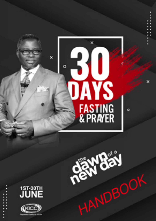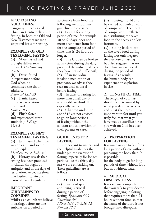#### **KICC FASTING GUIDELINES:**

Kingsway International Christian Centre believes in fasting. In both the Old and New Testaments we see a scriptural basis for fasting.

# **EXAMPLES OF OLD TESTAMENT FASTING:**

**(a)** Moses fasted and brought deliverance to Israel. *Deuteronomy 9:9-18* **(b)** David fasted in repentance before God when he committed the sin of adultery. *2 Samuel 12:1-23* **(c)** Daniel fasted to receive revelation from God. *Daniel 10:1-3* **(d)** Elijah fasted and experienced great anointing. *1 Kings 19:4-8*

#### **EXAMPLES OF NEW TESTAMENT FASTING:**

**(a)** Jesus fasted when He was on earth and so did His disciples. *Matthew 4:1-2, Luke 4:1* **(b)** History reveals that fasting has been practiced in church throughout antiquity and in the days of restoration. Accounts show that Luther, Calvin and Knox all fasted regularly.

#### **IMPORTANT GUIDELINES TO CONSIDER:**

Whilst as a church we believe in fasting, before anyone embarks on a period of

abstinence from food the following are important guidelines to consider. **(a)** Fasting for a long period of time, for example 30 or 60 days, does not mean abstinence from food for the complete period of time, that is, 24 hours or longer.

**(b)** The fast can be broken at any time during the day, provided the individual feels they have prayed sufficiently. **(c)** If an individual is taking medication or pregnant, we advise they seek medical counsel before fasting.

**(d)** In cases of fasting for more than a half day, it is advisable to drink fluid especially water.

**(e)** Children under the age of 16 are not advised to go on long periods of fasting without the consent and supervision of their parents or carer.

#### **GUIDELINES FOR FASTING:**

It is important to understand the helpful guidelines that under-pin the exercise of fasting, especially for longer periods like the thirty day fast we are embarking on. These guidelines are as follows:

# **1. ATTITUDES:**

**(a)** Purity of speech and living is crucial during a period of fasting. *Ephesians 4:29 Colossians 3:8 I Peter 1:14-15; 3:10-12 Romans 12:2*

**(b)** Fasting should also be carried out with a heart of compassion. The heart of compassion is reflected in distributing the saved food to the needy and less fortunate.

**(c)** Going back to eat all the saved food during fasting not only negates the purpose of fasting but also suggests that no discipline was achieved during the period of fasting. As a result, the human body can experience an explosion in size.

**2. LENGTH OF TIME:**  The length of your fast should be determined by what you desire to receive and what the need is. It is important to fast until you truly feel that what you have made a sacrifice for as you wait on God has been achieved.

#### **3. PREPARATION FOR FASTING:**

It is unadvisable to fast for a long period of time without preparing the body first. It is possible for the body to go for long periods of time without food but not without water.

## **4. MEDICAL OBSERVATIONS:**

It is extremely important that you talk to your doctor before engaging in fasting that requires more than 24 hours without food so that the name of the Lord is not brought into disrepute.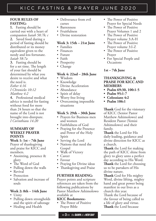#### **FOUR RULES OF FASTING:**

**1.** Fasting should be carried out with a heart of compassion *Isaiah 58:7b; c* **2.** Saved food during a period of fasting should be distributed or its money equivalent given to the needy and less fortunate. *Isaiah 58:7a*

**3.** Fasting should be for a set time. The length of your fast should be determined by what you desire to receive and what the need is.

*Esther 4:16*

*I Chronicles 10:12 Matthew 4:2*

**4.** Professional medical advice is needed for fasting without food for more than 24 hours so that the name of the Lord is not brought into disrepute. *I Corinthians 14:20*

#### **SUMMARY OF WEEKLY PRAYER POINTS**

# **Week 1: 1st – 7th June**

Prayer of thanksgiving and praise for KICC and members.

- Anointing, presence & glory
- The Word of God
- Pulling down the walls
- Revival
- Protection
- Salvation and increase of souls

## **Week 2: 8th – 14th June**

- Unity
- Pulling down strongholds and the spirit of sabotage
- Healing and Health
- Deliverance from evil curses
- Barrenness
- Fruitfulness
- Divine restoration

#### **Week 3: 15th – 21st June**

- Families
- Finances
- Future
- Faith
- Prosperity
- Change

#### **Week 4: 22nd – 28th June**

- Wisdom
- Knowledge
- Divine Acceleration
- Abundance
- Spirit of delay
- Worry free living
- Overcoming impossible situations

#### **Week 5: 29th – 30th June**

- Prayers for Business men and women
- Faithfulness of God
- Praying for the Presence and Power of the Holy Spirit
- Serving the Lord
- Nations that need the Gospel
- Walk of Victory
- Career
- Favour
- Praying for Divine ideas
- Thanksgiving and Praise

#### **FURTHER READING:**

Prayer points and scripture references are taken from the following publications by Pastor Matthew Ashimolowo available at

#### **KICC Bookstores:-**

• The Power of Positive Prayer Bible

- The Power of Positive Prayer for Special Needs
- The Power of Positive Prayer Volumes 1 and 2
- The Power of Positive Prayer volume 3:A-H
- The Power of Positive Prayer volume 3:I-Z
- The Power of Positive Prayer
- For Special People and Occasions

# **1st – 7th June**

#### **THANKSGIVING & PRAISE FOR KICC AND MEMBERS**

- **• Psalm 69:30, 100:1-5**
- **• Psalm 95:1-7**
- **• Colossians 4:2**
- **• Psalm 106:1**

**Thank** God for the visionary of KICC (Senior Pastor Matthew Ashimolowo) and Resident Pastor (Yemisi Ashimolowo) and their family.

**Thank** the Lord for His daily leading, guidance and divine direction for KICC as a church.

**Thank** the Lord for making the path of KICC shine from glory to glory unto a perfect day according to His Word.

**Thank** the Lord for choosing us to be partakers of His divine nature.

**Thank** God for His mighty Word, divine lifting, mighty hand and great power being manifest in our lives as a church this year.

Thank the Lord because of the favour of being called to a life of glory and virtue. **Thank** the Lord because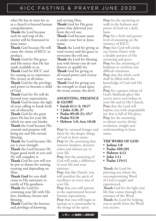what He has in store for us as a church is beyond human comprehension.

**Thank** the Lord because each lie and trap of the enemy will be frustrated in Jesus name.

**Thank** God because He will cause the vision of KICC to produce.

**Thank** God for His grace and His mercy that He has made available to us

**Thank** God for KICC and for causing us to experience His victory at all times.

**Thank** God for the privilege and power to become a child of God.

**Thank** God for He will do beyond your expectations. **Thank** God because the light of your calling to break forth out of obscurity.

**Thank** God for the great plans He has for your life which no man can hinder. **Thank** the Lord because His counsel and purpose will bring joy and His eternal blessing.

**Thank** the Lord because His joy is your strength.

**Thank** the Lord because He began good work in you and He will complete it.

**Thank** God for you will not be put to shame for waiting, trusting and depending on Him.

**Thank God** for you shall come to His sanctuary to testify of His goodness. **Thank** the Lord for crowning your life with His love, kindness, favour and

blessing. **Thank** God for the honour and privilege of knowing

and serving Him.

**Thank** God for His great power that delivered you from the evil one.

**Thank** God because satan is under your feet in Jesus name.

**Thank** the Lord for giving us total victory and the grace to overcome the evil one. **Thank** the Lord for blessing you with favour you do not

deserve or qualify for. **Thank** God for giving us all round power and victory over satan.

**Thank** God for giving you the strength to tread upon the worst enemy, the devil.

#### **ANOINTING, PRESENCE & GLORY**

- **• Isaiah 61:1-3; 10:27**
- **• 1 John 2:20, 27**
- **• Psalm 89:20-21; 45:7**
- **• Psalm 92:10**
- **• Hebrew 1:9; Acts 10:38**

**Pray** for unusual hunger and thirst for the deeper things of God in Jesus name. **Pray** for the anointing that removes burdens, destroys yokes and releases joy in your life.

**Pray** that the anointing of God will make a difference in your life and your ministry.

**Pray** that like Daniel, you will manifest the spirit of excellence in every area of your life.

**Pray** that you will operate in the supernatural beyond human expectations.

**Pray** that you will begin to operate as a commander in the things of the spirit.

**Pray** for the anointing to walk in the holiness and power of God on a daily basis.

**Pray** for a fresh and greater level of anointing on the ministry of KICC. **Pray** that God will clothe our Senior Pastor with a double portion of His anointing and grace. **Pray** for the anointing of boldness to confront any difficult situations. **Pray** that the whole earth shall be filled with the knowledge of God and His glory.

**Pray** for a greater release of God's Shekinah glory like you've never seen before in your life and in His Church. **Pray** that the Lord will baptise you with unspeakable joy that is full of His glory. **Pray** for the anointing to always receive divine revelation, insight and understanding in Jesus name.

#### . **THE WORD OF GOD**

- **• Joshua 1:8**
- **• Psalm 109:105**
- **• Hebrew 4:12**
- **• John 1:11**
- **• Psalm 119:11**

**Thank** the Lord for planting you where the uncompromising Word of God is taught and experienced. **Thank** God for the light and life that comes through the entrance of the Word. **Thank** the Lord for helping you to profit from the Word you receive.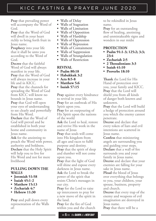**Pray** that prevailing power will accompany the Word of God.

**Pray** that the Word of God will dwell in your heart richly to bring forth fruit in Jesus name.

**Prophecy** into your life that it shall be unto you according to the Word of God.

**Decree** that the faithful Word of God will always manifest in your life. **Pray** that the Word of God will always increase in your life and in KICC.

**Pray** that the channels for spreading the Word of God from KICC will know no bounds in Jesus name. **Pray** that God will open your eyes of understanding to see clearly and powerfully from His Word.

**Declare** that the Word of God will prevail and be established in both your home and community in Jesus name.

**Ask** for the anointing to preach the Word with power, authority and boldness.

**Declare** that the Holy Spirit will help you to live for His Word and not for mere livelihood

#### **PULLING DOWN THE WALLS**

- **• Jeremiah 51:58**
- **• Isaiah 45:1-2**
- **• Matthew 15:13**
- **• Zechariah 4:7**
- **• Hebrew 11:30**

**Pray** and pull down every representation of the Walls of:

- **•** Walls of Delay
- Walls of Stagnation
- **•** Walls of Limitation
- **•** Walls of Opposition
- **•** Walls of Hardship
- **•** Walls of Oppression
- **•** Walls of Repression
- **•** Walls of Containment
- **•** Walls of Suppression
- **•** Walls of Strangulation
- **•** Walls of Restriction

#### **REVIVAL**

- **• Psalm 80:18**
- **• Habakkuk 3:2**
- **• Acts 8:5-8**
- **• Matthew 5:6**
- **• Isaiah 57:15**

**Pray** against every hindrance to revival in your life. **Pray** for an outbreak of His Spirit upon you. **Pray** for an outpouring of His Spirit upon the nations of the world **Ask** the Lord to heal, restore and revive His work in the name of Jesus **Pray** that souls will come into His kingdom from all ages and races to fulfil purpose and destiny. **Pray** that the spirit of sleep and slumber will not come upon you. **Pray** that the light of God will shine and expose every darkness in Jesus name. **Ask** the Lord to break the

power of the spirit that resists Christ's messages in our city.

**Pray** for the Lord to raise up intercessors to pray for a new move of the spirit in the land.

**Pray** for the fire of God within you and the church to be rekindled in Jesus name.

**Pray** for an outstanding flow of healing, anointing and unmistakeable signs and wonders in our midst

#### **PROTECTION**

- **• Psalm 91:1-3; 125:2; 3:3; 23:4**
- **• Zechariah 2:5**
- **• 2 Thessalonians 3:3**
- **• Isaiah 41:10**
- **• Proverbs 18:10**

**Thank** the Lord for His Hand of protection over you, your family and KICC. **Pray** that the Lord will shield you from all kinds of danger both known and unknown.

**Pray** that the Lord will build a hedge of protection around you which the enemy cannot penetrate.

**Decree** and declare that every token of liars and evil intentions are scattered in Jesus name.

**Confess** that ministering angels are surrounding you and guiding your steps. **Declare** that a wall of fire surrounds you and your family in Jesus name.

**Decree** and declare that your enemies are falling for your sake in Jesus name.

**Plead** the blood of Jesus over everything that belongs to you, your children, your spouse, business, property and church.

**Decree** that every trap of the enemy and weapons of evil imagination are destroyed in Jesus name.

**Pray** that there will be a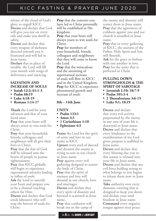release of the cloud of God's glory to engulf KICC. **Decree** and declare that God will give you rest on every side and make you dwell in safety.

**Decree** and declare that every weapon of darkness directed towards you is frustrated and will fail in Jesus name.

**Declare** that in place of trouble, the Lord will fill your mouth with songs of deliverance and rejoicing.

## **SALVATION AND INCREASE OF SOULS**

- **• Isaiah 12:2; 61:1-3**
- **• Psalm 68:19**
- **• Luke 4:18-19**
- **• Romans 1:14-17**

**Thank** the Lord for your salvation and that of your loved ones.

**Pray** that your heart will always yearn to win souls for Christ.

**Pray** that your household, friends, colleagues and neighbours will all give their lives to Christ.

**Pray** that the fear of God will be released into the hearts of people to pursue righteousness.

**Pray** that KICC globally will begin to experience supernatural miracles leading to influx of souls.

**Ask** the Lord to sanctify your heart and prepare you to be a channel reaching others for Him.

**Decree** and declare that God sends labourers who will reap the harvest of souls for Christ.

**Pray** that the converts you have led to Christ personally will be established in His kingdom.

**Pray** that your heart will always yearn to win souls for Christ.

**Pray** for members of your household, friends, colleagues and neighbours that they will come to know the Lord.

**Pray** that the miraculous and the anointing of supernatural increase of souls will flow in KICC and in the United Kingdom. **Pray** for KICC to experience phenomenal growth and increase of souls.

# **8th – 14th June**

**UNITY**

- **• Psalm 133:1**
- **• Amos 3:3**
- **• 1 Corinthians 1:10**
- **• Ephesians 4:3**

**Praise** the Lord for the spirit of unity and love in our midst at KICC

**Uproot** every seed of discord and division the enemy is trying to sow in our church in Jesus name.

**Pray** against every evil gathering designed to scatter the body of Christ. **Pray** that the spirit of

oneness and love will abound in our church, lives and marriages.

**Decree** and declare that every spirit of disunity and betrayal is scattered in Jesus name.

**Pray** that confusion will break out in the camp of the enemy and disunity will scatter them in Jesus name. **Pray** that the agreement of evildoers against you and our church is annulled in Jesus name.

**Pray** that in every gathering of KICC, the oneness of the Father, Holy Spirit and Son will flourish.

**Ask** for the grace to forbear with one another in love. **Pray** for the unity that is perfected in Christ.

#### **PULLING DOWN STRONGHOLDS & THE SPIRIT OF SABOTAGE**

- **• Jeremiah 1:10; 18:7-9**
- **• Psalm 101:3-4**
- **• 2 Thessalonians 3:6-15**
- **• Luke 9:1; 10:19**

**Decree** and declare that every evil activity perpetuated by the enemy in any area of your life is destroyed in Jesus name. **Decree** and declare that every hindrance to the manifestation of my God given purpose is nullified in Jesus name.

**Decree** and declare that every blessing due you in this season is released into your life in Jesus name. **Decree** and declare that any evil force holding strong to what belongs to you begins to release them now in Jesus name.

**Take** authority over every demonic covering that is designed to keep you down and declare your total freedom in Jesus name. **Command** every negative tongue against your peace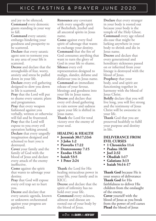and joy to be silenced**. Command** every demonic giants standing in your way to fall.

**Command** every satanic embargo hindering your goodness and prosperity to be scattered.

**Declare** that every satanic agent sent to torment you in any area of your life is scattered.

**Decree** and declare that the strongholds of fear, worry, anxiety and stress be pulled down in your life.

**Declare** every evil gathering designed to slow you down in life is scattered.

**Pray** that the Lord will put to shame every satanic plans and programmes.

**Pray** that every weapon fashioned against you verbally, written or otherwise will fail and be frustrated. **Pray** that the Lord will expose to you every evil operation lurking around. **Declare** that every ungodly imagination designed and schemed to hurt you is destroyed.

**Cover** your family and the family of God with the blood of Jesus and declare every attack of the enemy ineffective.

**Come** against the spirit that wants to sabotage your destiny.

**Pray** that God will expose every evil trap set to hurt you.

**Decree** and declare that every satanic agenda, known or unknown orchestrated against your progress are paralysed.

**Renounce** any covenant with every ungodly spirit of Beelzebub, Jezebel and all ancestral spirits in Jesus name.

**Come** against every foul spirit of sabotage that wants to exchange your destiny. **Command** that the fire of God consumes anything that want to turn the glory of God in your life to shame. **Silence** every evil representation designed to malign, slander, defame and disfavour you in Jesus name. **Command** an immediate release of your favour, blessings and goodness into your life in Jesus name. **Decree** and declare that every evil cloud gathering to rain sorrow and sadness upon your life is shifted in Jesus name.

**Thank** the Lord for total victory over the enemy of your soul.

# **HEALING & HEALTH**

# **• Jeremiah 30:17;33:6**

- **• 3 John 1:2**
- **• Proverbs 17:22**
- **• Deuteronomy 7:15**
- **• Exodus 15:26**
- **• Isaiah 53:5**
- **• 1 Peter 2:24**

**Thank** the Lord for His healing miraculous power in your life, your family and in KICC.

**Decree** and declare that the spirit of infirmity has no hold over your life.

**Command** every sickness, ailment and disease are rooted out of your body by the blood of Jesus.

**Declare** that every stranger in your body is rooted out because your body is the temple of the Holy Ghost. **Command** every age related dis-ease that might be lurking anywhere in your body to shrink and die in Jesus name.

**Decree** and declare that every generational and hereditary sicknesses passed on or inherited from your lineage is destroyed with the blood of Jesus.

**Prophecy** that your body, soul and spirit are functioning together in harmony with the blood of Jesus Christ.

**Boldly** declare that you will live long, you will live strong and the testimony of Jesus Christ will be awesome in your life.

**Thank** God that you are preserved healthily to fulfil your purpose and destiny in life.

## **DELIVERANCE FROM EVIL CURSES**

- **• 1 Chronicles 11:4**
- **• Psalms 18:50**
- **• Joel 2:32**
- **• Obadiah 1:17**
- **• Galatians 3:13**
- **• Isaiah 54:14-17**

**Thank God** because He is your source of deliverance **Thank God** for His faithfulness to deliver His children from the onslaught of the enemy.

**Cover** yourself with the blood of Jesus as you break from the power of evil curses **Plead** the blood of Jesus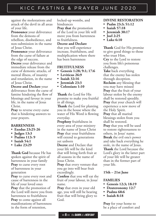against the molestations and attack of the devil in all areas of your life.

**Pronounce** your deliverance from the demons of rebellion, disobedience, and non-submission in the name of Jesus Christ.

**Pronounce** your deliverance from the curse of failure at the edge of success.

**Decree** your deliverance and immediate release from the curse of demonic attacks, of mental illness, of insanity and retardation, in the name of Jesus Christ.

**Decree and Declare** your deliverance from the curse of famine hindering the flow of blessings and favour in your life, in the name of Jesus Christ.

**Pray** to reverse every curse that is hindering answers to your prayers.

# **BARRENNESS**

- **• Exodus 23:25-26**
- **• Judges 13:3**
- **• Psalms 113: 9**
- **• Isaiah 54:1**
- **• Luke 23:29**

**Thank God** because He has spoken against the spirit of barrenness in your family **Pray** to curse every root of barrenness in your generation

**Pray** to curse every root and cause of barrenness in the life of your loved ones **Pray** that the promotion of the Lord will move you from barrenness to fruitfulness **Pray** to come against all manifestations of barrenness in the form of retention,

locked-up wombs, and hindrances

**Pray that** the promotion of the Lord in your life will move you from barrenness to fruitfulness.

#### **Decree and Declare**

that you will experience increase, fruitfulness, and multiplication where there has been barrenness

## **FRUITFULNESS**

- **• Genesis 1:28; 9:1; 17:6**
- **• Leviticus 26:9**
- **• Isaiah 32:16**
- **• Jeremiah 23:3**
- **• Colossians 1:10**

**Thank** the Lord for His promise to make you fruitful in all things.

**Thank** the Lord for planting you in the house where the water of His Word is flowing everyday.

**Prophesy** fruitfulness in every area of your ministry in the name of Jesus Christ **Pray** that your fruitfulness will extend to generations yet unborn

**Decree** and Declare that your life will be the kind that will bring forth fruit at all seasons in the name of Jesus Christ.

**Pray** that every venture that you go into will bear fruit exceedingly.

**Confess** that you will eat the fruit of your labour, in Jesus' name.

**Pray** that even in your old age, you will still be bearing fruit that will bring glory to God.

# **DIVINE RESTORATION**

- **• Psalm 23:3; 51:12**
- **• Isaiah 57:18**
- **• Jeremiah 30:17**
- **• Joel 2:25**
- **• Luke 6:10**

**Thank** God for His promise to give good things to those who trust Him. **Cry** to the Lord to restore you from life's poisonous challenges.

**Take** back everything that the enemy has stolen through deception. **Reclaim** any blessing that you may have missed **Pray** that the fruit of your labour stolen by the enemy shall be restored speedily. **Pray** that your church will experience a new move of the Holy Spirit. **Pray** that all marital blessings stolen from you shall be restored. **Pray** that you will be used to restore righteousness to others, in Jesus' name. **Break** the evil one's power and take back everything he stole, in the name of Jesus. **Thank** the Lord because the Lord's glory in the latter part of your life will be greater than in the former part of your life.

# **15th – 21st June**

## **FAMILIES**

- **• Genesis 12:3; 18:19**
- **• Deuteronomy 12:7**
- **• Psalms 68:6**
- **• Isaiah 8:18**

**Pray** for your home to be a place of comfort and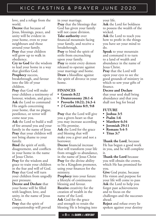love, and a refuge from the world.

**Decree** that because of Jesus, blessings, peace, and unity will be evident in your home, even to your neighbours and those around your family. **Pray** that your children will grow up to walk in obedience.

**Cry to God** for the wisdom to lead your home in a way that glorifies God.

**Prophecy** success, breakthrough, and favour into the life of your children.

**Pray** that God will make your children a testimony of honour, wisdom, and grace. **Ask** the Lord to command His angels concerning your home, that no plague, pestilence, or terror will come near you.

**Ask** the Lord to build a wall of fire around you and your family in the name of Jesus **Pray** that your children will not bring shame to your family.

**Bind** the spirit of strife, disagreement, and conflicts in your home in the name of Jesus Christ.

**Pray** for the wisdom and grace to train your children in the fear and will of God. **Pray** that God will turn your children from ungodly peer pressure.

**Decree and Declare** that your home will be filled with laughter, love, and unity, in the name of Jesus Christ.

**Pray** that the spirit of companionship will prevail in your marriage. **Pray** that the blessings that God has given your family will not cause division.

**Take authority** over

financial mountain facing your family, and receive a breakthrough.

**Pray** to bind the spirit of strife from encroaching upon your family. **Pray** to resist every demon released to operate against your marriage and home. **Draw** a bloodline against the spirit of divorce in your home.

# **FINANCES**

- **• Genesis 8:22**
- **• Deuteronomy 28:1-6**
- **• Proverbs 10:22; 24:3-4**
- **• 2 Corinthians 8:9, 9:8**

**Pray** that the Lord will give you a givers heart so that you may increase according to His promise.

**Ask** the Lord for the grace and blessing that will make you a giver and not a borrower.

**Decree** financial increase that will transform your life from struggle to abundance, in the name of Jesus Christ **Pray** for the divine ability to be a Kingdom promoter, using your finances for the ministry.

**Prophecy** into your future a lifestyle of continuous blessing and favour. **Receive** creativity for the creation of wealth in the name of the Lord. **Ask** God for the grace and strength to retain the blessing He is bringing into your life.

**Ask** the Lord for boldness to possess the wealth of the wicked.

**Ask** the Lord to teach you how to profit in the things you have set your mind to do.

**Speak** to your mountain and command it to turn to a land of wealth and abundance in the name of Jesus Christ.

**Pray** that the Lord will open your eyes to see the good grounds of ministry in which to sow your gifts of finance.

# **Decree and Declare**

that your seed shall bring abundance and that you shall not beg for bread

## **FUTURE**

- **• Joshua 3:5**
- **• Psalm 1:6**
- **• Matthew 6:34**
- **• Jeremiah 29:11**
- **• Romans 5:4-5**
- **• Titus 3:7**

**Thank the Lord**, because He has begun a good work in you, and he will complete it.

**Thank the Lord** because you will obtain the crown, which He has promised for you.

**Give** God praise, because His vision and purpose for your life will come to pass **Ask** the Lord to help you forget past achievements and to focus on the challenges and the successes ahead.

**Reject** and refuse every lie spoken against your destiny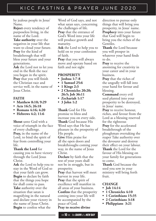by jealous people in Jesus' Name.

**Reject** every tendency of purposeless living, in the name of the Lord.

**Take authority** over the negatives in your life that want to cloud your future. **Pray** for the kind of breakthrough that will bless your future and your generations.

**Ask** the Lord not to let you end in the flesh the race you began in the spirit. **Pray** that you will finish the Christian race and service well, in the name of Jesus Christ.

## **FAITH**

- **• Matthew 8:10; 9:29**
- **• Acts 16:5; 26:18**
- **• Romans 4:16; 4:20**
- **• Hebrews 4:2; 11:6**

**Shout** unto God with a voice of triumph in the face of every challenge. **Pray,** in the name of the Lord, to bind the spirit of fear from controlling your life.

#### **Thank the Lord** for

causing you to have victory through the Lord Jesus Christ.

**Ask** the Lord to help you to stay in the Word of God so that your faith can grow. **Begin** to declare by faith that the things you hope for shall come to pass. **Take** authority over the situation that satan is magnifying in the natural and declare your victory in the name of Jesus Christ. **Begin** to confess what the

Word of God says, and not what satan says, concerning the challenges of life. **Pray** that the entrance of God's Word into your life will produce growth and maturity.

**Ask** the Lord to help you to hold on to your confession of faith.

**Pray** that you will always move and operate based on faith and not sight

# **PROSPERITY**

- **• Joshua 1:7-8**
- **• 1 Samuel 25:6**
- **• 1 Kings 2:3**
- **• 2 Chronicles 20:20; 26:5; Job 36:11**
- **• Zechariah 1:17**
- **• 3 John 1:2**

**Thank** God for His promise to bless and increase you on every side. **Thank** God because His Word says that He has pleasure in the prosperity of His people.

**Give** Him praise for all the open doors and breakthroughs coming your way, in the name of Jesus Christ.

**Declare** by faith that the rest of your years shall not be in struggle, but in prosperity.

**Pray** that harvest will meet harvest in your life. **Pray** that the spirit of excellence will manifest in all areas of your business. **Confess** that the prosperity coming into your life will be accompanied by the peace of God. **Pray to receive divine** 

<< **10** >> the **DAWN** of a **NEW DAY**

direction to pursue only things that will bring you prosperity, in Jesus' name. **Prophecy** into your future that God will begin to bring you the riches of the Gentiles.

**Thank** the Lord because you will prosper in whatever your hand finds to do.

**Pray** to receive the anointing for creativity in your career and in your business.

**Pray** that the riches of the ungodly will fall into your hand for favour and blessing.

**Command** every evil seed planted into your prosperity to be destroyed, in Jesus' name.

**Pray** to receive honour, riches, and favour from the Lord as a blessing reserved for the righteous **Pray** for the accelerated breakthrough of the ploughman overtaking the reaper Take authority over the devourer and destroy their effect on your labour. **Thank** the Lord for the favour of His blessing on your family for generations to come.

**Thank** God because the seed you sow in your ministry will bring forth fruit.

## **CHANGE**

- **• Job 14:14**
- **• 1 Chronicles 4:10**
- **• 1 Corinthians 15:35**
- **• 2 Corinthians 3:18**
- **• Philippians 3:21**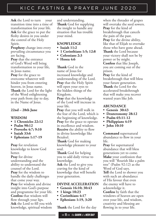**Ask** the Lord to turn your transition time into a time of transformation for your life. **Ask** for the grace to put the fleshy desires in you under the control of the Holy Spirit.

**Prophesy** change into every prevailing circumstance you are facing.

**Pray** that the entrance of God's Word will bring transformation to your life, in Jesus name.

**Pray** for the grace to overcome whatever will hinder you from entering heaven, in Jesus name. **Thank** the Lord for the light of the Word enlightening your path from day to day, in the Name of Jesus.

# **22nd – 28th June**

# **WISDOM**

- **• 1 Chronicles 22:12**
- **• Psalm 90:12**
- **• Proverbs 4:7; 9:10**
- **• Isaiah 33:6**
- **• Ephesians 1:17-19**

**Pray** for revelation knowledge to know God better.

**Pray** for divine understanding and the ability to understand the counsel of the Lord. **Pray** for the wisdom to handle the daily challenges that come your way. **Pray** for wisdom and divine insight into God's purpose and programme for your life. **Confess** that wisdom will flow through your lips. **Ask** the Lord to fill you with knowledge, spiritual wisdom

and understanding. **Thank** God for supplying the insight to handle any situation that has trouble your mind.

# **KNOWLEDGE**

- **• Isaiah 11:2**
- **• 1 Corinthians 1:5; 12:8**
- **• Colossians 2:3**
- **• Hosea 4:6**

**Thank** God in the name of Jesus for increased knowledge and understanding of the Lord. **Pray** that the Holy Spirit will open your eyes to the hidden things of the Kingdom.

**Pray** that the knowledge of the Lord will increase in your life.

**Pray** that you will walk in the fear of the Lord, which is the beginning of knowledge. **Pray** for the grace to operate in excellence and wisdom. **Receive** the ability to flow in divine knowledge like Bezaleel.

**Thank** God for making knowledge pleasant to your soul.

**Thank** God for helping you to add daily virtue to knowledge.

**Ask** the Lord to give you craving for the kind of knowledge that will benefit your generation.

# **DIVINE ACCELERATION**

- **• Genesis 16:10; 30:43**
- **• 1 kings 10:23**
- **• Corinthians 4:17**
- **• Ephesians 1:19, 3:20**

**Thank** the Lord for the day

<< **11** >> the **DAWN** of a **NEW DAY**

when the threader of grapes will overtake the seed sowers. **Pray** for the kind of breakthrough that cancels the pain of the past. **Pray** for the divine ability, like that of Elijah to overtake those who have gone ahead. **Thank** the Lord because your victory shall not be by power or by might. **Confess** that like Joseph, you are coming out of the prison.

**Pray** for the kind of breakthrough that will bless your future generation. **Thank** the Lord for the accelerated breakthrough that will make you recover wasted years like Job.

# **ABUNDANCE**

- **• Genesis 30:43**
- **• Deuteronomy 28:12**
- **• Psalm 65:11-12**
- **• Philippians 4:19**
- **• John 10:10**

**Command** supernatural abundance to flow in your life.

**Pray** for supernatural abundance that will bless generations yet to come. **Make** your confession that you will "flourish like a palm tree" (Psalm 92:12) as the Word of God says. **Tell** the Lord to shower you with such an abundance of His favour that even the enemy will have to acknowledge it. **Confess** by faith that the windows of heaven are open over your life, and wisdom, creativity and blessing are flowing in to your life.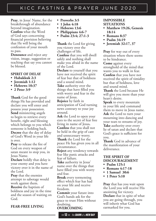**Pray**, in Jesus' Name, for the breakthrough of abundance beyond imagination. **Confess** what the Word of God says concerning financial provision believing that He will bring the confession of your mouth to pass.

**Denounce** and reject any vision, image, suggestion or teaching that say you cannot be blessed.

#### **SPIRIT OF DELAY**

- **• Habakkuk 2:3**
- **• Jeremiah 1:12**
- **• Hebrews 10:37**
- **• 2 Peter 3:9**

**Thank** God for the good things He has provided and declare you will enter and possess your possession. **Send** ministering angels to begin to retrieve every benefit, right and blessing which belongs to you which someone is holding back. **Decree** that the day of delay of God's Word in your life is over.

**Pray** to release the fire of God on every weapon of satan meant to stop you, in Jesus Name.

**Declare** boldly that delay is your enemy and you have victory over it in the name of the Lord.

**Pray** that the enemies attempt to sabotage would work against them.

**Receive** the baptism of boldness and joy in the time and the season of waiting on God.

# **FEAR-FREE LIVING**

- **• Proverbs 3:5**
- **• 1 John 4:18**
- **• Hebrews 13:6**
- **• Philippians 4:6-7**
- **• Psalm 23:4; 27:1-3**

**Thank** the Lord for giving you victory over the challenges of life. **Confess** that you will dwell safely and nothing shall make you afraid in the name of the Lord.

**Declare** to yourself that you have not received the spirit of fear but that of boldness and a sound mind.

**Take** authority over the things that have filled you with worry and fear in the name of Jesus.

**Rejoice** by faith in anticipation of God turning news contrary to your joy around.

**Ask** the Lord to open your eyes to the secret of fear free living in name of Jesus**. Confess** that you shall not be held in the grip of care and unnecessary worry. **Thank** the Lord for the peace He has given you in all circumstance.

**Reject** any tendency towards fear like panic attacks and fear of failure.

**Take** authority in Jesus' name over the things that have filled you with worry and fear.

**Break** every tormenting effect which fear has had on your life and receive freedom.

**Commit** your future into God's hands ask for the grace to trust Him without doubting. **OVERCOMING** 

#### << **12** >> the **DAWN** of a **NEW DAY**

#### **IMPOSSIBLE SITUATIONS**

- **• Matthew 19:26, Genesis 18:14**
- **• Romans 8:37**
- **• Psalm 34:19**
- **• Jeremiah 32:17, 37**

**Pray** for way out of every situation where there seems to be hindrance.

**Come** against every stronghold of the mind that wants you to walk in fear. **Confess** that you have not received the spirit of timidity but that of boldness, love and sound mind.

**Thank** the Lord because He will give you more than your heart's desire.

**Speak** to every mountain in your life and command them to move in Jesus name. **Ask** the Lord to turn your mourning into dancing and your tears to streams of joy. **Take** authority over every lie of satan and declare that God's grace is sufficient for you.

**Thank** God in advance of the manifestation of your deliverance.

#### **THE SPIRIT OF DISCOURAGEMENT**

- **• Psalm 125:1**
- **• Romans 4:17-18**
- **• 1 Samuel 30:6**
- **• 1 Peter 5:10**

**Pray** that has you wait upon the Lord you will receive His anointing for victory.

**Declare** that in spite of what you are going through, you will inherit what God has earmarked for you.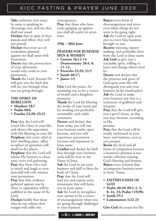**Take** authority over every lie satan is speaking to discourage you, and say they shall not stand.

**Declare** that in spite of their attacks and effort, they will not prevail.

**Declare** that every act of wickedness planned against me shall meet with frustration.

**Decree** that the provocation of your adversaries would only result in your promotion.

**Thank** the Lord, because He will give you the faith that will see you through what you are going through.

#### **THE SPIRIT OF REBELLION**

- **• Matthew 18:7**
- **• Psalm 68:6**
- **• Exodus 23:28; 23:22**

**Pray** that the Lord will reveal His Glory in your life, and silence the opposition with His blessing in your life **Prophesy** that every rebel in your dwelling place, office or sphere of operation will dwell in dry places. **Prophesy** that the Lord will release His hornets to chase away every evil gathering. **Pray** that those who wait to mock and laugh at your downfall will only witness your promotion.

**Pray** that false evidence gathered against you by those in opposition will be nullified in the name of the Lord.

**Declare** boldly that those who do not refrain their tongue will suffer the

consequences.

**Pray** that those who have come ganging up against you shall all scatter in seven ways.

# **29th – 30th June**

# **PRAYERS FOR BUSINESS MEN & WOMEN**

- **• Genesis 26:12-14 Deuteronomy 28:4, 8, 11-12;**
- **• Proverbs 22:29; 21:5**
- **• Isaiah 48:17;**
- **• James 1:5**

**Give** God the praise, for anointing you to be a creator of wealth and a kingdom promoter.

**Thank** the Lord for blessing the works of your hand and for sending you profitable, sustainable, and viable customers.

**Decree** and declare that from today you will run your business under open heavens, and you will experience uncommon increase and expansion in Jesus name.

**Confess** and declare by faith that through your business, souls will be won in the Name of Jesus.

**Ask** the Lord to use your business and skill to bless the body of Christ. **Pray** that the Lord will

lead you and expose every investment that will harm you in Jesus name. **Ask** the Lord to strengthen your spouse to be a source of encouragement when you are going through challenges **Reject** every form of discouragement and stress even when things do not seem to be going right. **Ask** the Lord to open your eyes to every false business brought to you.

**Receive** winning, moneymaking, and profitable ideas from the Lord in Jesus name. **Ask God** to give you a teachable spirit, willing to learn and change where need be.

**Decree** and declare that the presence and grace of God upon your life will distinguish you and your business in the marketplace **Ask** the Lord to make your business one that is a testimony of godliness and integrity.

**Pray** that the Lord will give you a giver's heart, so that you may increase, according to His

promise.

**Pray** that the Lord will be totally enthroned in your heart and business, even as you prosper.

**Resist** the devil and all forms of temptation because a moment's pleasure is not worth a lifetime missing God's blessing and honour. **Reject** every sickness that accompanies business stress in Jesus' Name**.**

- **• FAITHFULNESS OF GOD**
- **• Psalm 40:10; 89:1-2, 5, 8, 24, 33; Psalm 119:90;**
- **• Isaiah 25:1**
- **• Lamentation 3:22-23**

**Give God** the praise for His

in your business.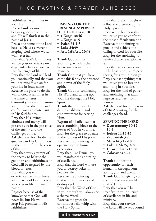faithfulness at all times in your life.

**Praise God** because He began a good work in you, and He will finish it in the name of Jesus.

**Praise** the name of the Lord because He is a covenant keeping God whose Word will never fail.

**Pray** that God's faithfulness will be your experience on a day-by-day basis as you face the challenges of life. **Pray** that the Lord will lead

you continually and that you will not miss His plan for your life in Jesus name.

**Receive** the grace to do the will of God at all times in the name of Jesus.

**Commit** your dreams, vision and future to the Lord and confess your absolute trust in His faithfulness. **Pray** that His loving

kindness and mercy will preserve you in the presence of the enemy and the challenges of life.

**Ask** the Lord for His divine guidance in His faithfulness in the midst of the darkness of this world.

**Pray** that every attempt of the enemy to belittle the goodness and faithfulness of God will be negated by the blood of Jesus.

**Pray** that you will experience the faithfulness and mercies of God in every area of your life in Jesus name.

**Rejoice** because of the knowledge that God will never lie, but He will keep His promises in His faithfulness.

# **PRAYING FOR THE PRESENCE & POWER OF THE HOLY SPIRIT**

- **• 1 Kings 18:46**
- **• 2 Kings 3:15 • Isaiah 61:1-3**
- **• Luke 24:49**
- **• Acts 1:8; Acts 10:38**

**Thank** God for His anointing, which is the key to success in life and ministry.

**Thank** God that you have come this far by the presence and power of the Holy Spirit.

**Thank** God for confirming His Word and calling upon your life through the Holy Spirit

**Thank** the Lord for His divine enablement and empowerment for serving Him.

**Repent** of all offences that are a stumbling block to the power of God in your life. **Pray** for the grace to operate in the fullness of His power **Receive** the anointing to operate beyond human expectation.

**Pray** that, like Daniel, you will manifest the anointing of excellence.

**Pray** that the Lord will use you to destroy yokes in people's life.

**Receive** the anointing that removes burdens and destroys yokes.

**Pray** that the Word of God in your mouth will always be a rhema Word.

**Receive** the grace for continuous fellowship with the Holy Spirit.

**Pray** that breakthroughs will follow the presence of the Holy Spirit in your life. **Receive** the boldness that will cause you to confront the most difficult situation. **Receive** the anointing to pursue and achieve the calling of God for your life. **Pray** for the anointing to receive divine revelation at all.

**Pray** that as you associate with those who you respect their gifting will rub on you. **Pray** against anything that will cause you to lose the anointing in your life. **Pray** for the kind of power and anointing that satan respects and flees from in Jesus name.

**Ask** the Lord for an increase of His Anointing for the challenges ahead.

# **SERVING THE LORD**

- **• Deuteronomy 10:12; 13:4**
- **• Joshua 24:14-15**
- **• Zephaniah 3:9;**
- **• Malachi 3:17-18;**
- **• Luke 1:74-75; 4:8**
- **• 1 Corinthians 15:58**
- **• Colossians 3:24.**

**Thank** God for the opportunity to reach humanity through your ability, gift, and talent. **Thank** God for giving you the heart of a servant like that of Jesus.

**Pray** that you will be steadfast in your pursuit of excellence in life and ministry.

**Pray** that your service in the Lord will always abound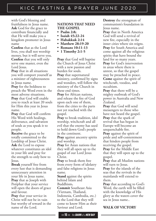with God's blessing and fruitfulness in Jesus name. **Ask** God for the grace to contribute financially and that He will make you a kingdom promoter in Jesus name

**Confess** that as the Lord lives, you shall not worship money, but it will serve you. **Confess** that you will only serve one master, even the Lord *Iesus*.

**Pray** that in all situations you will comport yourself as a minister of righteousness in Jesus name.

**Pray** for the boldness to preach the Word even in the most adverse situations. **Pray** that God will enable you to reach at least 20 souls for Him this year in Jesus name.

**Pray** that God will confirm His Word with healings, deliverance, and salvation of souls as you speak it to people.

**Receive** the grace to be totally committed to the Lordship of Jesus Christ. **Ask** the Lord to expose whatever constitutes an idol in your life and pray for the strength to only bow to Jesus.

**Break** yourself free from every lust that is demanding unnecessary attention in your life in Jesus name. **Pray** that as Joseph with Potiphar that your service will open the doors of grace and favour.

**Pray** that your service in Christ will not be in vain but worthy of reward in the name of the Lord.

# **NATIONS THAT NEED THE GOSPEL**

- **• Psalm 2:8;**
- **• Isaiah 45:22-24**
- **• Habakkuk 2:14**
- **• Matthew 28:19-20**
- **• Romans 10:11-13**
- **• 1 Timothy 2:1-5**

**Pray** that God will baptise the Church of Jesus Christ with a new passion and burden for souls. **Pray** that supernatural ministry, confirmed by signs and wonders, will follow the ministry of the Church in these end times.

**Pray** for African nations, and release the fire of God upon each one of them, from the cities to the parts not yet reached with the gospel.

**Pray** to break tradition, idol worship, witchcraft and all evil that the enemy has used to hold down God's people in the continent.

**Pray** against ancestry spirits and worship.

**Pray** for Asian nations that they will all open up to the gospel of our Lord Jesus Christ.

**Pray** to break them free from every form of idolatry and false religions in Jesus name.

**Stand** against the spirits behind Islam and Buddhism**.**

**Commit** Southeast Asia (Vietnam, Thailand, Indonesia, Cambodia, etc.) to the Lord that they will come to know Him as their Saviour and Lord.

<< **15** >> the **DAWN** of a **NEW DAY**

**Destroy** the strongman of communism's foundation in Jesus name.

**Pray** that in North America God will send a revival of new fire, especially in the inner cities where sin reigns. **Pray** for South America and come against all the religious spirits that have bound the land for so many years. **Pray** for God's intervention in areas where there is unrest, so that the gospel may be preached in peace. **Come** against the spirit of witchcraft, voodoo, and occultism.

**Pray** that there will be a mighty outbreak of God's power in Australia and New Zealand.

**Pray** that God will send messengers to those who have not heard the gospel. **Pray** that the spark of revival that has begun in Europe will become an unquenchable fire.

**Pray** against the spirit of pride and self-contentment that hinders people from receiving the gospel. **Pray** for the Middle East

that they will open up to the gospel.

**Pray** that all Muslim nations will turn to Jesus.

**Pray** for the islands of the seas that the revivals in the mainlands will extend to them.

**Pray** that according to God's Word, the earth will be filled with the knowledge of His glory as the waters cover the sea in Jesus name..

# **WALK OF VICTORY**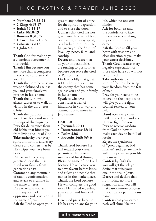- **• Numbers 23:23-24**
- **• 2 Kings 6:15-17**
- **• Isaiah 54:15-17**
- **• Luke 10:18-19**
- **• Romans 8:31, 37**
- **• 1 Corinthians 15:57**
- **• Colossians 2:15;**
- **• 1 John 4:4**

**Thank** God for making you a victorious overcomer in this world.

**Thank** Him because you are more than a conqueror in every way and area of your life.

**Thank** the Lord because no weapon fashioned against you and your family will prosper in Jesus name.

**Thank** the Lord who always causes us to walk in victory in the Lord Jesus Christ.

**Thank** the Lord for turning your tears, fears and worries to songs of thanksgiving. **Pray** for deliverance from old habits that hinder you from living the life of God. **Take** authority over every spirit of infirmity and every disease and confess that by His stripes you have been healed.

**Refuse** and reject any genetic disease that has ruled your family from generations past.

**Command** any mountain of satanic confrontation and attack to crumble in the name of Jesus. **Pray** to release yourself from any form of oppression and obsession in the name of Jesus. **Ask** the Lord to open your

eyes to any point of entry for the spirit of depression and to close the door. **Confess** that God has not given you the spirit of fear, oppression, a heavy spirit, or a broken spirit, but He has given you the Spirit of love, joy, peace, faith, and sonship.

**Decree** and declare that all your impossibilities are turning to possibilities because you serve the God of Possibilities.

**Declare** boldly that greater is He who is in you than the enemy that has come against you and your family in Jesus name.

**Speak** to whatever constitutes a wall of hindrance in your way and command it to move in Jesus name.

# **CAREER**

- **• Jeremiah 29:11**
- **• Deuteronomy 28:13**
- **• Psalm 32:8**
- **• Proverbs 16:3; 3:5-6**

**Thank** God because He will reward your career pursuits with uncommon success and breakthrough. **Bless** the name of the Lord because He will cause you to have favour before kings and rulers and people that matter in the marketplace. **Thank** the Lord because He will complete the good work He started regarding your career and financial life.

**Give** God praise because He has great plans for your life, which no one can hinder.

**Ask** for boldness and the confidence to face interviews when taking steps concerning your career.

**Ask** the Lord to fill your heart with wisdom and clear direction as you make your career decisions.

**Thank God** because every negative expectation of those who hate you will not be fulfilled.

**Take** authority over the spirit of fear, by declaring your freedom from the fear of man.

**Pray** for your steps to be ordered to the people who will give you the right counsel related to your field.

**Hand** over every career battle to the Lord and ask Him to fight for you. **Pray** to receive wisdom from God on how to make each day to be full of results.

**Reject** the syndrome of "good beginner, bad finisher" and declare that it will not operate in your life in Jesus name.

**Confess** by faith that you will get the job you desire that suits your qualifications in Jesus. **Decree** and declare that from today, no more stagnation and you will make uncommon progress in your career path in Jesus name.

**Confess** that your career path will shine like the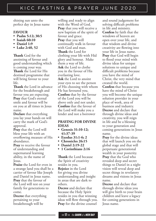shining sun unto the perfect day in Jesus name

# **FAVOUR**

- **• Psalm 5:12; 30:5**
- **• Isaiah 60:10**
- **• Daniel 1:9**
- **• Luke 2:40, 52**

**Thank** God for the anointing of favour and good understanding which is coming your way. **Thank** the Lord for His destined programme that will bring favour to your life.

**Thank** the Lord in advance for the breakthrough and favour you are expecting. **Pray** that God's eternal smile and favour will be on you at all times in Jesus name.

**Declare** that everything you lay your hands on will carry the mark of God's approval.

**Pray** that the Lord will bless your life with an overflowing measure of His abundance.

**Pray** to receive the favour of understanding and supernatural learning ability, in the name of Jesus.

**Praise** the Lord for even in a strange land you shall be a carrier of favour like Joseph and Daniel in Jesus name. **Pray** that the favour of the Lord will rest on your family for generations to come.

**Decree** that everything pertaining to your breakthrough will be

willing and ready to align with the Word of God. **Pray** that you will receive a new baptism of the spirit of favour and grace. **Pray** that you will continually walk in favour with God and man. **Thank** the Lord for clothing your life with Hid glory and honour. Make them a way of life. **Ask** the Lord to clothe you in the favour of His everlasting love. **Ask** the Lord to anoint your eyes to see the person of His choosing with whom He has favoured you. **Confess** that by the favour of the Lord you will be above only and not under. **Confess** that the favour of the Lord will make you a lender and not a borrower

## **PRAYING FOR DIVINE IDEAS**

- **• Genesis 31:10-12; 41:37-39**
- **• Exodus 31:1-6; 2**
- **• Chronicles 26:15**
- **• Daniel 2:19-22**
- **• 1 Corinthians 2:16**

**Thank** the Lord because the Spirit of creativity resides in you. **Rejoice** in the Lord for giving you divine understanding and insight in areas that are dark to others.

**Decree** and declare that because the Holy Spirit resides in you that winning ideas will flow through you. **Pray** for the divine counsel

and sound judgement for solving difficult problems in life and ministry. **Confess** by faith that the windows of heaven are open over your life, and that wisdom and divine creativity are flowing into your life in Jesus name. **Pray** that God will begin to flood your mind with divine ideas for unique solutions to unique and difficult problems because you have the mind of Christ, the very mind that created the world. **Confess** that because you have the mind of Christ you will become the unique solution provider in your place of work, area of business and industry. **Decree** and declare that through divine ideas and creativity, you will reign in life and be a blessing to your generation and coming generations in Jesus name.

**Pray** for the divine ideas that will launch you on the global stage and that will perpetuate generational wealth in your posterity. **Pray** that the God who revealed deep and secret things to Daniel in a night vision will reveal deep and secret things in revelatory dreams and visions in Jesus name.

**Decree** and declare that through divine ideas you will give birth to your brain children and leave a legacy for coming generations in Jesus name.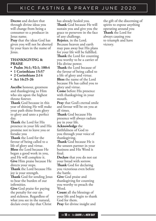**Decree** and declare that through divine ideas you will change from being a consumer to a producer in Jesus name.

**Pray** that the ideas God has given you will not be aborted by your fears in the name of Jesus.

#### **THANKSGIVING & PRAISE**

- **• Psalm 34:1; 92:1; 100:4**
- **• 1 Corinthians 15:57**
- **• 2 Corinthians 2:14**
- **• Act 16:25-26**

**Ascribe** honour, greatness and thanksgiving to Him who sits upon the highest throne forever.

**Thank** God because in this year of shining He will make your path shine from glory to glory and unto a perfect day.

**Thank** the Lord for His presence in your life and His promise not to leave you or forsake you

**Thank** the Lord for the favour of being called to a life of glory and virtue. **Bless** the Lord because He began a good work in you,

and He will complete it. **Give** Him praise because He directs your steps.

**Thank** the Lord because His joy is your strength.

**Thank** God for sending Jesus to bear the burden of our infirmities.

**Give** God praise for paying the penalty for our sin and sickness. Regardless of what you see in the natural, declare every day that Christ has already healed you. **Thank** God because He will sustain you and give you the grace to persevere in the face of any challenge. **Rejoice**, in the Lord. Because heaven and earth may pass away but His plans for your life will be fulfilled. **Thank** the Lord for counting you worthy to be a carrier of His divine power. **Thank** the Lord because of the favour of being called to a life of glory and virtue. **Bless** the name of the Lord because He has called you to glory and virtue. **Come** before His presence with thanksgiving in your mouth. **Pray** that God's eternal smile and favour will be on you at all times. **Thank** God because His presence will always radiate joy in your life. **Acknowledge** the faithfulness of God to you through your voice of thanksgiving. **Thank** God because He is the unseen partner in your business and His Word is final. **Declare** that you do not eat your bread with sorrow. **Thank** God for declaring you victorious even before the battle. **Give** God praise and thanksgiving for counting you worthy to preach the Word. **Count** all the blessings of your life and begin to thank God for them. **Pray** for divine insight and

the gift of the discerning of spirits to expose anything operating around you **Thank** the Lord for always causing you to triumph and have victory.